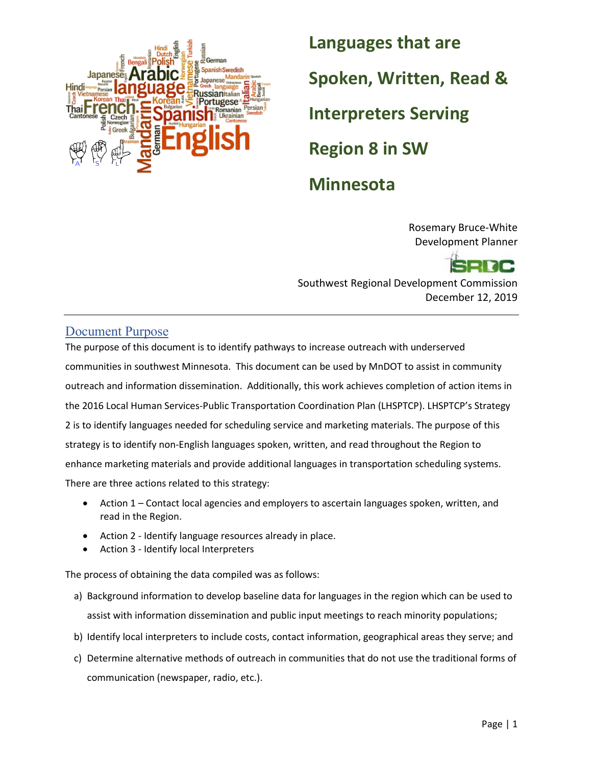

**Languages that are Spoken, Written, Read & Interpreters Serving Region 8 in SW Minnesota** 

> Rosemary Bruce-White Development Planner

Southwest Regional Development Commission December 12, 2019

### <span id="page-0-0"></span>Document Purpose

The purpose of this document is to identify pathways to increase outreach with underserved communities in southwest Minnesota. This document can be used by MnDOT to assist in community outreach and information dissemination. Additionally, this work achieves completion of action items in the 2016 Local Human Services-Public Transportation Coordination Plan (LHSPTCP). LHSPTCP's Strategy 2 is to identify languages needed for scheduling service and marketing materials. The purpose of this strategy is to identify non-English languages spoken, written, and read throughout the Region to enhance marketing materials and provide additional languages in transportation scheduling systems. There are three actions related to this strategy:

- Action 1 Contact local agencies and employers to ascertain languages spoken, written, and read in the Region.
- Action 2 Identify language resources already in place.
- Action 3 Identify local Interpreters

The process of obtaining the data compiled was as follows:

- a) Background information to develop baseline data for languages in the region which can be used to assist with information dissemination and public input meetings to reach minority populations;
- b) Identify local interpreters to include costs, contact information, geographical areas they serve; and
- c) Determine alternative methods of outreach in communities that do not use the traditional forms of communication (newspaper, radio, etc.).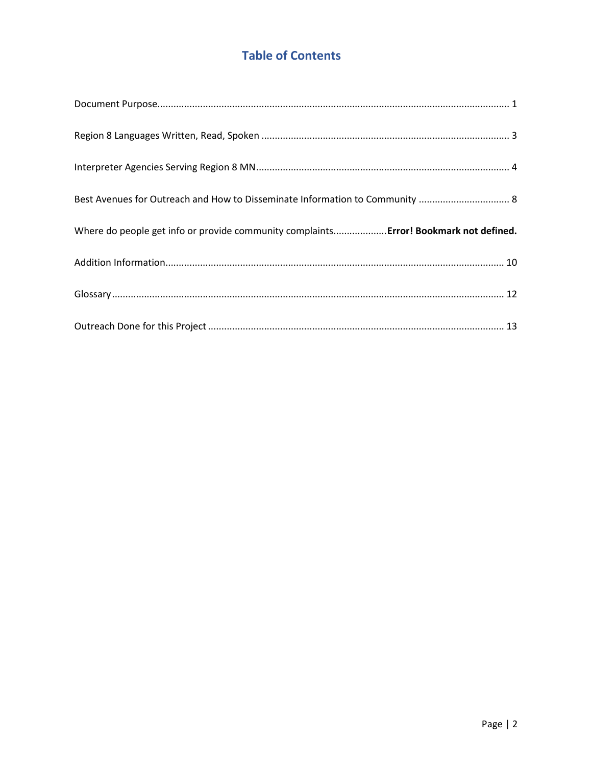## **Table of Contents**

| Best Avenues for Outreach and How to Disseminate Information to Community  8          |
|---------------------------------------------------------------------------------------|
|                                                                                       |
| Where do people get info or provide community complaints Error! Bookmark not defined. |
|                                                                                       |
|                                                                                       |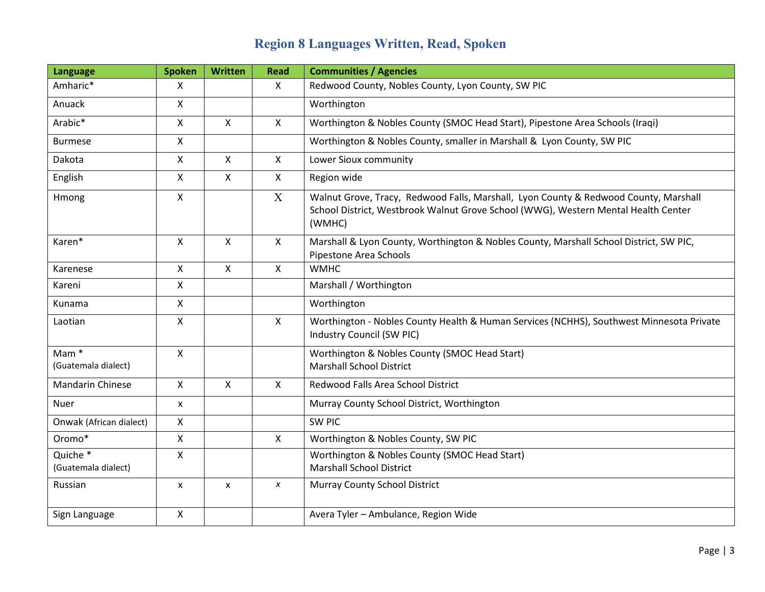# **Region 8 Languages Written, Read, Spoken**

<span id="page-2-0"></span>

| <b>Language</b>                         | <b>Spoken</b> | <b>Written</b> | <b>Read</b>  | <b>Communities / Agencies</b>                                                                                                                                                        |
|-----------------------------------------|---------------|----------------|--------------|--------------------------------------------------------------------------------------------------------------------------------------------------------------------------------------|
| Amharic*                                | X             |                | $\mathsf{X}$ | Redwood County, Nobles County, Lyon County, SW PIC                                                                                                                                   |
| Anuack                                  | $\mathsf{X}$  |                |              | Worthington                                                                                                                                                                          |
| Arabic*                                 | $\mathsf{X}$  | $\mathsf{X}$   | $\mathsf{X}$ | Worthington & Nobles County (SMOC Head Start), Pipestone Area Schools (Iraqi)                                                                                                        |
| <b>Burmese</b>                          | $\mathsf{X}$  |                |              | Worthington & Nobles County, smaller in Marshall & Lyon County, SW PIC                                                                                                               |
| Dakota                                  | $\mathsf{X}$  | $\mathsf{X}$   | $\mathsf{X}$ | Lower Sioux community                                                                                                                                                                |
| English                                 | $\mathsf{X}$  | $\mathsf{X}$   | $\mathsf{X}$ | Region wide                                                                                                                                                                          |
| Hmong                                   | $\mathsf{X}$  |                | $\mathbf{X}$ | Walnut Grove, Tracy, Redwood Falls, Marshall, Lyon County & Redwood County, Marshall<br>School District, Westbrook Walnut Grove School (WWG), Western Mental Health Center<br>(WMHC) |
| Karen*                                  | X             | $\mathsf{X}$   | $\mathsf{X}$ | Marshall & Lyon County, Worthington & Nobles County, Marshall School District, SW PIC,<br>Pipestone Area Schools                                                                     |
| Karenese                                | X             | $\mathsf{X}$   | $\mathsf{X}$ | <b>WMHC</b>                                                                                                                                                                          |
| Kareni                                  | X             |                |              | Marshall / Worthington                                                                                                                                                               |
| Kunama                                  | $\mathsf{x}$  |                |              | Worthington                                                                                                                                                                          |
| Laotian                                 | X             |                | $\mathsf{X}$ | Worthington - Nobles County Health & Human Services (NCHHS), Southwest Minnesota Private<br>Industry Council (SW PIC)                                                                |
| Mam <sup>*</sup><br>(Guatemala dialect) | $\mathsf{x}$  |                |              | Worthington & Nobles County (SMOC Head Start)<br><b>Marshall School District</b>                                                                                                     |
| <b>Mandarin Chinese</b>                 | $\mathsf{X}$  | $\mathsf{X}$   | X            | Redwood Falls Area School District                                                                                                                                                   |
| <b>Nuer</b>                             | X             |                |              | Murray County School District, Worthington                                                                                                                                           |
| Onwak (African dialect)                 | X             |                |              | <b>SW PIC</b>                                                                                                                                                                        |
| Oromo*                                  | $\mathsf{x}$  |                | X            | Worthington & Nobles County, SW PIC                                                                                                                                                  |
| Quiche *<br>(Guatemala dialect)         | $\mathsf{X}$  |                |              | Worthington & Nobles County (SMOC Head Start)<br><b>Marshall School District</b>                                                                                                     |
| Russian                                 | X             | X              | X            | Murray County School District                                                                                                                                                        |
| Sign Language                           | $\mathsf{X}$  |                |              | Avera Tyler - Ambulance, Region Wide                                                                                                                                                 |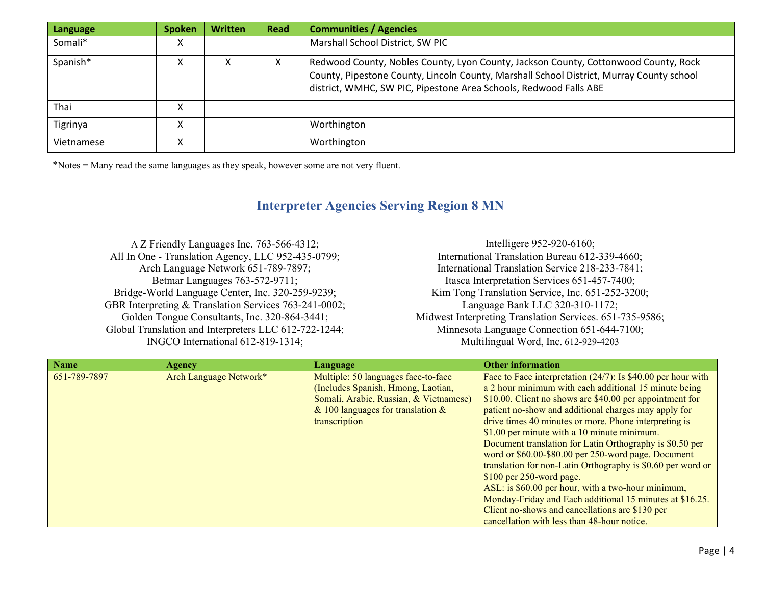| Language   | <b>Spoken</b> | <b>Written</b> | Read | <b>Communities / Agencies</b>                                                                                                                                                                                                                        |
|------------|---------------|----------------|------|------------------------------------------------------------------------------------------------------------------------------------------------------------------------------------------------------------------------------------------------------|
| Somali*    | х             |                |      | Marshall School District, SW PIC                                                                                                                                                                                                                     |
| Spanish*   | х             | X              |      | Redwood County, Nobles County, Lyon County, Jackson County, Cottonwood County, Rock<br>County, Pipestone County, Lincoln County, Marshall School District, Murray County school<br>district, WMHC, SW PIC, Pipestone Area Schools, Redwood Falls ABE |
| Thai       |               |                |      |                                                                                                                                                                                                                                                      |
| Tigrinya   | Χ             |                |      | Worthington                                                                                                                                                                                                                                          |
| Vietnamese | x             |                |      | Worthington                                                                                                                                                                                                                                          |

\*Notes = Many read the same languages as they speak, however some are not very fluent.

### **Interpreter Agencies Serving Region 8 MN**

A Z Friendly Languages Inc. 763-566-4312; All In One - Translation Agency, LLC 952-435-0799; Arch Language Network 651-789-7897; Betmar Languages 763-572-9711; Bridge-World Language Center, Inc. 320-259-9239; GBR Interpreting & Translation Services 763-241-0002; Golden Tongue Consultants, Inc. 320-864-3441; Global Translation and Interpreters LLC 612-722-1244; INGCO International 612-819-1314;

Intelligere 952-920-6160; International Translation Bureau 612-339-4660; International Translation Service 218-233-7841; Itasca Interpretation Services 651-457-7400; Kim Tong Translation Service, Inc. 651-252-3200; Language Bank LLC 320-310-1172; Midwest Interpreting Translation Services. 651-735-9586; Minnesota Language Connection 651-644-7100; Multilingual Word, Inc. 612-929-4203

<span id="page-3-0"></span>

| <b>Name</b>  | Agency                 | Language                               | <b>Other information</b>                                        |
|--------------|------------------------|----------------------------------------|-----------------------------------------------------------------|
| 651-789-7897 | Arch Language Network* | Multiple: 50 languages face-to-face    | Face to Face interpretation $(24/7)$ : Is \$40.00 per hour with |
|              |                        | (Includes Spanish, Hmong, Laotian,     | a 2 hour minimum with each additional 15 minute being           |
|              |                        | Somali, Arabic, Russian, & Vietnamese) | \$10.00. Client no shows are \$40.00 per appointment for        |
|              |                        | & 100 languages for translation $\&$   | patient no-show and additional charges may apply for            |
|              |                        | transcription                          | drive times 40 minutes or more. Phone interpreting is           |
|              |                        |                                        | \$1.00 per minute with a 10 minute minimum.                     |
|              |                        |                                        | Document translation for Latin Orthography is \$0.50 per        |
|              |                        |                                        | word or \$60.00-\$80.00 per 250-word page. Document             |
|              |                        |                                        | translation for non-Latin Orthography is \$0.60 per word or     |
|              |                        |                                        | \$100 per 250-word page.                                        |
|              |                        |                                        | ASL: is \$60.00 per hour, with a two-hour minimum,              |
|              |                        |                                        | Monday-Friday and Each additional 15 minutes at \$16.25.        |
|              |                        |                                        | Client no-shows and cancellations are \$130 per                 |
|              |                        |                                        | cancellation with less than 48-hour notice.                     |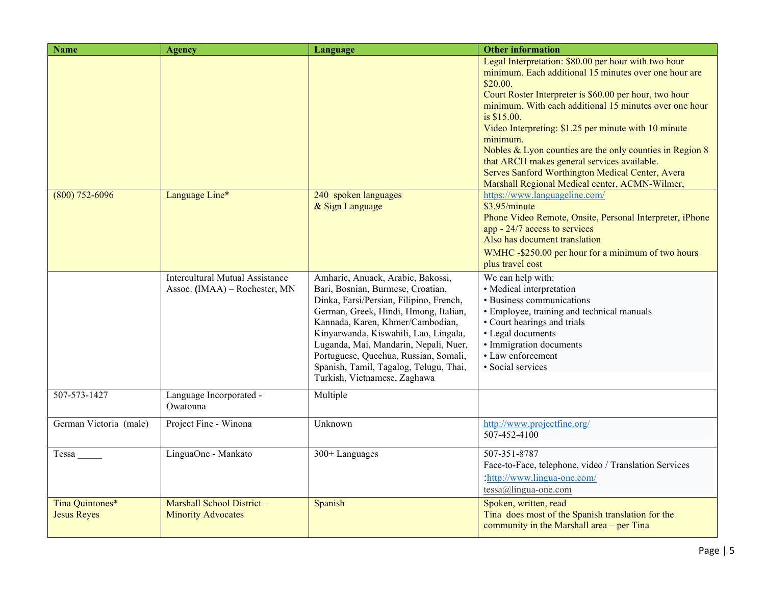| <b>Name</b>                           | <b>Agency</b>                                                           | Language                                                                                                                                                                                                                                                                                                                                                                                            | <b>Other information</b>                                                                                                                                                                                                                                                                                                                                                                                                                                                                                                                          |
|---------------------------------------|-------------------------------------------------------------------------|-----------------------------------------------------------------------------------------------------------------------------------------------------------------------------------------------------------------------------------------------------------------------------------------------------------------------------------------------------------------------------------------------------|---------------------------------------------------------------------------------------------------------------------------------------------------------------------------------------------------------------------------------------------------------------------------------------------------------------------------------------------------------------------------------------------------------------------------------------------------------------------------------------------------------------------------------------------------|
|                                       |                                                                         |                                                                                                                                                                                                                                                                                                                                                                                                     | Legal Interpretation: \$80.00 per hour with two hour<br>minimum. Each additional 15 minutes over one hour are<br>\$20.00.<br>Court Roster Interpreter is \$60.00 per hour, two hour<br>minimum. With each additional 15 minutes over one hour<br>is \$15.00.<br>Video Interpreting: \$1.25 per minute with 10 minute<br>minimum.<br>Nobles & Lyon counties are the only counties in Region 8<br>that ARCH makes general services available.<br>Serves Sanford Worthington Medical Center, Avera<br>Marshall Regional Medical center, ACMN-Wilmer, |
| $(800)$ 752-6096                      | Language Line*                                                          | 240 spoken languages<br>& Sign Language                                                                                                                                                                                                                                                                                                                                                             | https://www.languageline.com/<br>\$3.95/minute<br>Phone Video Remote, Onsite, Personal Interpreter, iPhone<br>app - 24/7 access to services<br>Also has document translation<br>WMHC-\$250.00 per hour for a minimum of two hours<br>plus travel cost                                                                                                                                                                                                                                                                                             |
|                                       | <b>Intercultural Mutual Assistance</b><br>Assoc. (IMAA) - Rochester, MN | Amharic, Anuack, Arabic, Bakossi,<br>Bari, Bosnian, Burmese, Croatian,<br>Dinka, Farsi/Persian, Filipino, French,<br>German, Greek, Hindi, Hmong, Italian,<br>Kannada, Karen, Khmer/Cambodian,<br>Kinyarwanda, Kiswahili, Lao, Lingala,<br>Luganda, Mai, Mandarin, Nepali, Nuer,<br>Portuguese, Quechua, Russian, Somali,<br>Spanish, Tamil, Tagalog, Telugu, Thai,<br>Turkish, Vietnamese, Zaghawa | We can help with:<br>• Medical interpretation<br>• Business communications<br>• Employee, training and technical manuals<br>• Court hearings and trials<br>• Legal documents<br>· Immigration documents<br>• Law enforcement<br>· Social services                                                                                                                                                                                                                                                                                                 |
| 507-573-1427                          | Language Incorporated -<br>Owatonna                                     | Multiple                                                                                                                                                                                                                                                                                                                                                                                            |                                                                                                                                                                                                                                                                                                                                                                                                                                                                                                                                                   |
| German Victoria (male)                | Project Fine - Winona                                                   | Unknown                                                                                                                                                                                                                                                                                                                                                                                             | http://www.projectfine.org/<br>507-452-4100                                                                                                                                                                                                                                                                                                                                                                                                                                                                                                       |
| Tessa                                 | LinguaOne - Mankato                                                     | 300+Languages                                                                                                                                                                                                                                                                                                                                                                                       | 507-351-8787<br>Face-to-Face, telephone, video / Translation Services<br>:http://www.lingua-one.com/<br>$tessa@lingua-one.com$                                                                                                                                                                                                                                                                                                                                                                                                                    |
| Tina Quintones*<br><b>Jesus Reyes</b> | Marshall School District-<br><b>Minority Advocates</b>                  | Spanish                                                                                                                                                                                                                                                                                                                                                                                             | Spoken, written, read<br>Tina does most of the Spanish translation for the<br>community in the Marshall area – per Tina                                                                                                                                                                                                                                                                                                                                                                                                                           |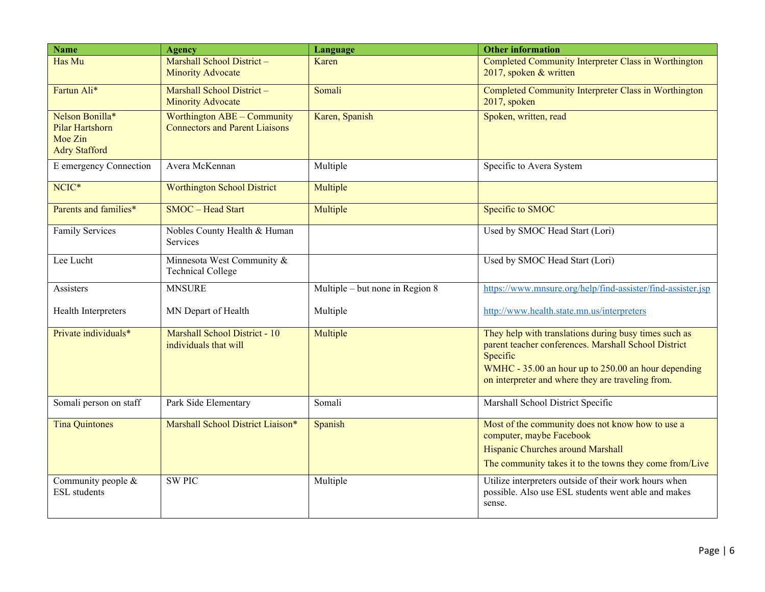| <b>Name</b>                                                                  | Agency                                                               | Language                        | <b>Other information</b>                                                                                                                                                                                                              |
|------------------------------------------------------------------------------|----------------------------------------------------------------------|---------------------------------|---------------------------------------------------------------------------------------------------------------------------------------------------------------------------------------------------------------------------------------|
| Has Mu                                                                       | Marshall School District-<br><b>Minority Advocate</b>                | Karen                           | Completed Community Interpreter Class in Worthington<br>2017, spoken & written                                                                                                                                                        |
| Fartun Ali*                                                                  | Marshall School District-<br><b>Minority Advocate</b>                | Somali                          | Completed Community Interpreter Class in Worthington<br>2017, spoken                                                                                                                                                                  |
| Nelson Bonilla*<br><b>Pilar Hartshorn</b><br>Moe Zin<br><b>Adry Stafford</b> | Worthington ABE - Community<br><b>Connectors and Parent Liaisons</b> | Karen, Spanish                  | Spoken, written, read                                                                                                                                                                                                                 |
| E emergency Connection                                                       | Avera McKennan                                                       | Multiple                        | Specific to Avera System                                                                                                                                                                                                              |
| NCIC*                                                                        | <b>Worthington School District</b>                                   | Multiple                        |                                                                                                                                                                                                                                       |
| Parents and families*                                                        | SMOC - Head Start                                                    | Multiple                        | Specific to SMOC                                                                                                                                                                                                                      |
| <b>Family Services</b>                                                       | Nobles County Health & Human<br>Services                             |                                 | Used by SMOC Head Start (Lori)                                                                                                                                                                                                        |
| Lee Lucht                                                                    | Minnesota West Community &<br><b>Technical College</b>               |                                 | Used by SMOC Head Start (Lori)                                                                                                                                                                                                        |
| Assisters                                                                    | <b>MNSURE</b>                                                        | Multiple – but none in Region 8 | https://www.mnsure.org/help/find-assister/find-assister.jsp                                                                                                                                                                           |
| Health Interpreters                                                          | MN Depart of Health                                                  | Multiple                        | http://www.health.state.mn.us/interpreters                                                                                                                                                                                            |
| Private individuals*                                                         | Marshall School District - 10<br>individuals that will               | Multiple                        | They help with translations during busy times such as<br>parent teacher conferences. Marshall School District<br>Specific<br>WMHC - 35.00 an hour up to 250.00 an hour depending<br>on interpreter and where they are traveling from. |
| Somali person on staff                                                       | Park Side Elementary                                                 | Somali                          | Marshall School District Specific                                                                                                                                                                                                     |
| <b>Tina Quintones</b>                                                        | Marshall School District Liaison*                                    | Spanish                         | Most of the community does not know how to use a<br>computer, maybe Facebook<br>Hispanic Churches around Marshall<br>The community takes it to the towns they come from/Live                                                          |
| Community people &<br><b>ESL</b> students                                    | <b>SW PIC</b>                                                        | Multiple                        | Utilize interpreters outside of their work hours when<br>possible. Also use ESL students went able and makes<br>sense.                                                                                                                |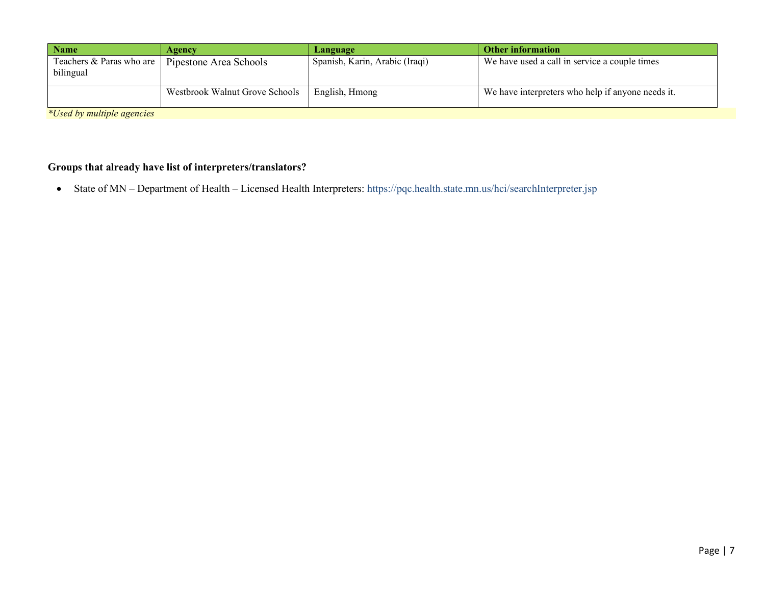| <b>Name</b>                           | Agency                         | Language                       | <b>Other information</b>                          |
|---------------------------------------|--------------------------------|--------------------------------|---------------------------------------------------|
| Teachers & Paras who are<br>bilingual | Pipestone Area Schools         | Spanish, Karin, Arabic (Iraqi) | We have used a call in service a couple times     |
|                                       | Westbrook Walnut Grove Schools | English, Hmong                 | We have interpreters who help if anyone needs it. |
| *Used by multiple agencies            |                                |                                |                                                   |

### **Groups that already have list of interpreters/translators?**

• State of MN – Department of Health – Licensed Health Interpreters: https://pqc.health.state.mn.us/hci/searchInterpreter.jsp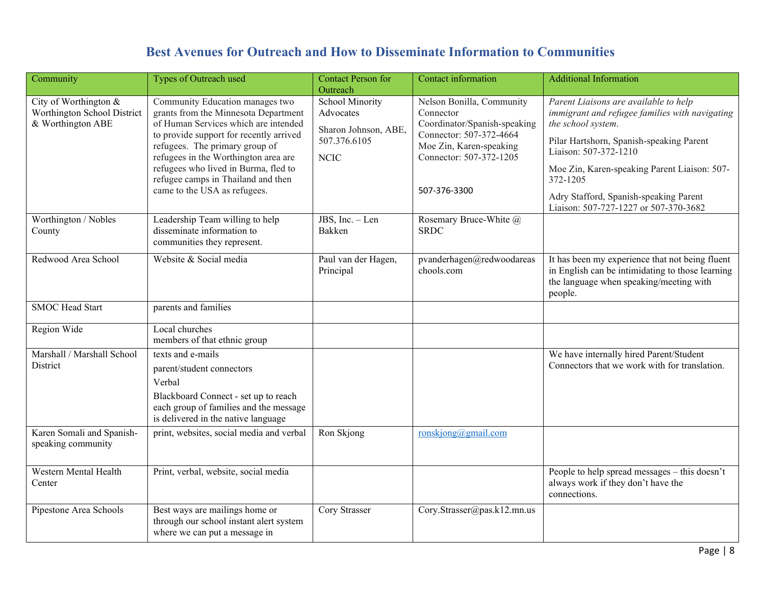## **Best Avenues for Outreach and How to Disseminate Information to Communities**

<span id="page-7-0"></span>

| Community                                                                 | Types of Outreach used                                                                                                                                                                                                                                                                                                                             | <b>Contact Person for</b><br>Outreach                                                      | Contact information                                                                                                                                                     | <b>Additional Information</b>                                                                                                                                                                                                                                                                                                     |
|---------------------------------------------------------------------------|----------------------------------------------------------------------------------------------------------------------------------------------------------------------------------------------------------------------------------------------------------------------------------------------------------------------------------------------------|--------------------------------------------------------------------------------------------|-------------------------------------------------------------------------------------------------------------------------------------------------------------------------|-----------------------------------------------------------------------------------------------------------------------------------------------------------------------------------------------------------------------------------------------------------------------------------------------------------------------------------|
| City of Worthington &<br>Worthington School District<br>& Worthington ABE | Community Education manages two<br>grants from the Minnesota Department<br>of Human Services which are intended<br>to provide support for recently arrived<br>refugees. The primary group of<br>refugees in the Worthington area are<br>refugees who lived in Burma, fled to<br>refugee camps in Thailand and then<br>came to the USA as refugees. | <b>School Minority</b><br>Advocates<br>Sharon Johnson, ABE,<br>507.376.6105<br><b>NCIC</b> | Nelson Bonilla, Community<br>Connector<br>Coordinator/Spanish-speaking<br>Connector: 507-372-4664<br>Moe Zin, Karen-speaking<br>Connector: 507-372-1205<br>507-376-3300 | Parent Liaisons are available to help<br>immigrant and refugee families with navigating<br>the school system.<br>Pilar Hartshorn, Spanish-speaking Parent<br>Liaison: 507-372-1210<br>Moe Zin, Karen-speaking Parent Liaison: 507-<br>372-1205<br>Adry Stafford, Spanish-speaking Parent<br>Liaison: 507-727-1227 or 507-370-3682 |
| Worthington / Nobles<br>County                                            | Leadership Team willing to help<br>disseminate information to<br>communities they represent.                                                                                                                                                                                                                                                       | JBS, Inc. - Len<br>Bakken                                                                  | Rosemary Bruce-White @<br><b>SRDC</b>                                                                                                                                   |                                                                                                                                                                                                                                                                                                                                   |
| Redwood Area School                                                       | Website & Social media                                                                                                                                                                                                                                                                                                                             | Paul van der Hagen,<br>Principal                                                           | $\overline{\mathbf{pv}}$ anderhagen@redwoodareas<br>chools.com                                                                                                          | It has been my experience that not being fluent<br>in English can be intimidating to those learning<br>the language when speaking/meeting with<br>people.                                                                                                                                                                         |
| <b>SMOC</b> Head Start                                                    | parents and families                                                                                                                                                                                                                                                                                                                               |                                                                                            |                                                                                                                                                                         |                                                                                                                                                                                                                                                                                                                                   |
| Region Wide                                                               | Local churches<br>members of that ethnic group                                                                                                                                                                                                                                                                                                     |                                                                                            |                                                                                                                                                                         |                                                                                                                                                                                                                                                                                                                                   |
| Marshall / Marshall School<br>District                                    | texts and e-mails<br>parent/student connectors<br>Verbal<br>Blackboard Connect - set up to reach<br>each group of families and the message<br>is delivered in the native language                                                                                                                                                                  |                                                                                            |                                                                                                                                                                         | We have internally hired Parent/Student<br>Connectors that we work with for translation.                                                                                                                                                                                                                                          |
| Karen Somali and Spanish-<br>speaking community                           | print, websites, social media and verbal                                                                                                                                                                                                                                                                                                           | Ron Skjong                                                                                 | ronskjong@gmail.com                                                                                                                                                     |                                                                                                                                                                                                                                                                                                                                   |
| Western Mental Health<br>Center                                           | Print, verbal, website, social media                                                                                                                                                                                                                                                                                                               |                                                                                            |                                                                                                                                                                         | People to help spread messages - this doesn't<br>always work if they don't have the<br>connections.                                                                                                                                                                                                                               |
| Pipestone Area Schools                                                    | Best ways are mailings home or<br>through our school instant alert system<br>where we can put a message in                                                                                                                                                                                                                                         | Cory Strasser                                                                              | Cory.Strasser@pas.k12.mn.us                                                                                                                                             |                                                                                                                                                                                                                                                                                                                                   |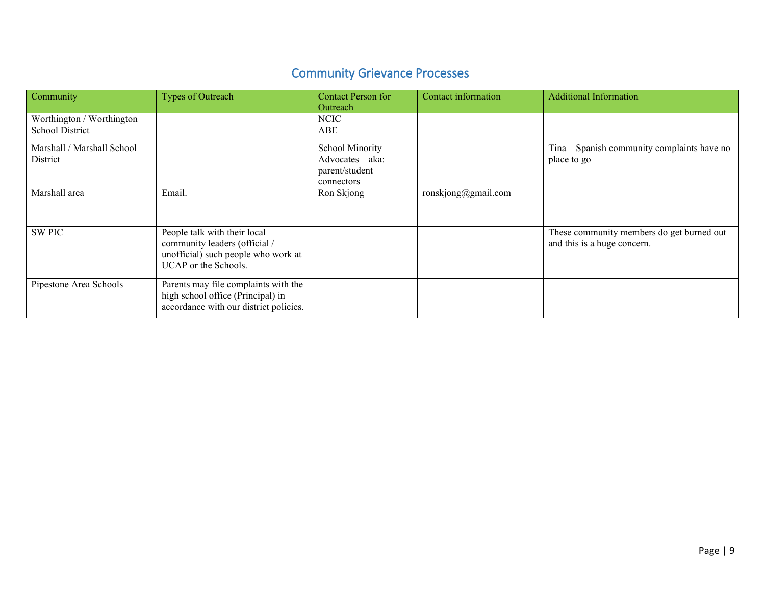# Community Grievance Processes

| Community                                           | Types of Outreach                                                                                                            | <b>Contact Person for</b><br>Outreach                               | Contact information | <b>Additional Information</b>                                            |
|-----------------------------------------------------|------------------------------------------------------------------------------------------------------------------------------|---------------------------------------------------------------------|---------------------|--------------------------------------------------------------------------|
| Worthington / Worthington<br><b>School District</b> |                                                                                                                              | NCIC<br>ABE                                                         |                     |                                                                          |
| Marshall / Marshall School<br>District              |                                                                                                                              | School Minority<br>Advocates - aka:<br>parent/student<br>connectors |                     | Tina - Spanish community complaints have no<br>place to go               |
| Marshall area                                       | Email.                                                                                                                       | Ron Skjong                                                          | ronskjong@gmail.com |                                                                          |
| <b>SW PIC</b>                                       | People talk with their local<br>community leaders (official /<br>unofficial) such people who work at<br>UCAP or the Schools. |                                                                     |                     | These community members do get burned out<br>and this is a huge concern. |
| Pipestone Area Schools                              | Parents may file complaints with the<br>high school office (Principal) in<br>accordance with our district policies.          |                                                                     |                     |                                                                          |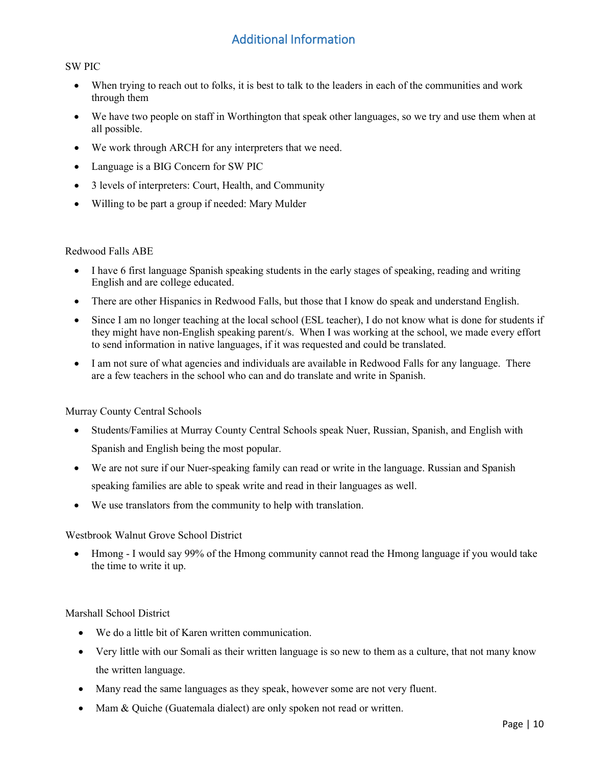## Additional Information

#### <span id="page-9-0"></span>SW PIC

- When trying to reach out to folks, it is best to talk to the leaders in each of the communities and work through them
- We have two people on staff in Worthington that speak other languages, so we try and use them when at all possible.
- We work through ARCH for any interpreters that we need.
- Language is a BIG Concern for SW PIC
- 3 levels of interpreters: Court, Health, and Community
- Willing to be part a group if needed: Mary Mulder

#### Redwood Falls ABE

- I have 6 first language Spanish speaking students in the early stages of speaking, reading and writing English and are college educated.
- There are other Hispanics in Redwood Falls, but those that I know do speak and understand English.
- Since I am no longer teaching at the local school (ESL teacher), I do not know what is done for students if they might have non-English speaking parent/s. When I was working at the school, we made every effort to send information in native languages, if it was requested and could be translated.
- I am not sure of what agencies and individuals are available in Redwood Falls for any language. There are a few teachers in the school who can and do translate and write in Spanish.

#### Murray County Central Schools

- Students/Families at Murray County Central Schools speak Nuer, Russian, Spanish, and English with Spanish and English being the most popular.
- We are not sure if our Nuer-speaking family can read or write in the language. Russian and Spanish speaking families are able to speak write and read in their languages as well.
- We use translators from the community to help with translation.

#### Westbrook Walnut Grove School District

• Hmong - I would say 99% of the Hmong community cannot read the Hmong language if you would take the time to write it up.

#### Marshall School District

- We do a little bit of Karen written communication.
- Very little with our Somali as their written language is so new to them as a culture, that not many know the written language.
- Many read the same languages as they speak, however some are not very fluent.
- Mam & Quiche (Guatemala dialect) are only spoken not read or written.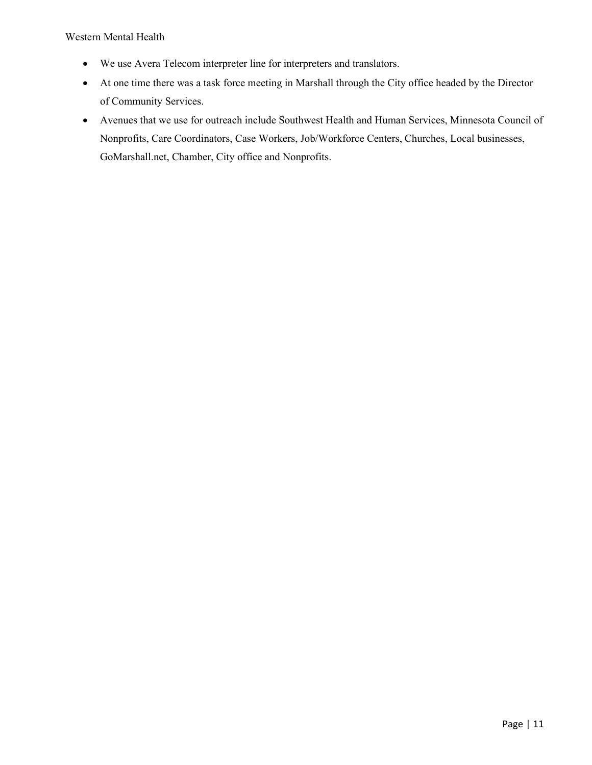Western Mental Health

- We use Avera Telecom interpreter line for interpreters and translators.
- At one time there was a task force meeting in Marshall through the City office headed by the Director of Community Services.
- <span id="page-10-0"></span>• Avenues that we use for outreach include Southwest Health and Human Services, Minnesota Council of Nonprofits, Care Coordinators, Case Workers, Job/Workforce Centers, Churches, Local businesses, GoMarshall.net, Chamber, City office and Nonprofits.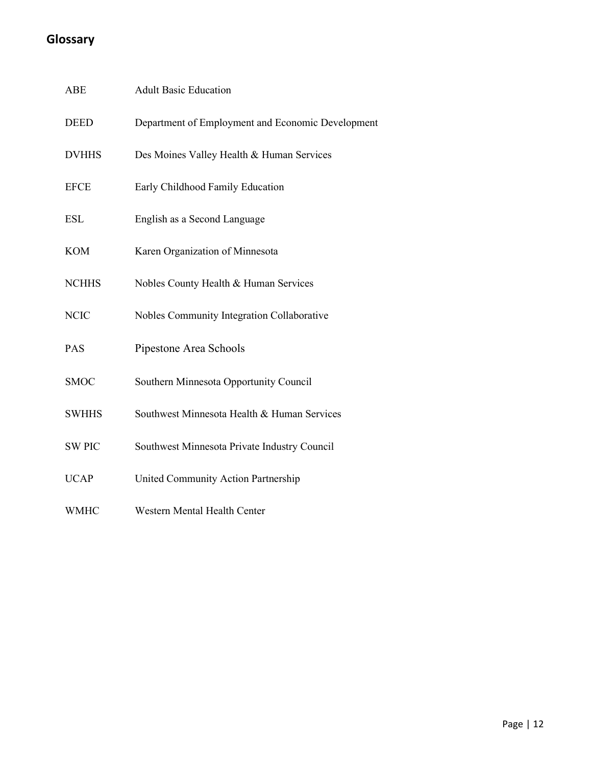# **Glossary**

| ABE           | <b>Adult Basic Education</b>                      |
|---------------|---------------------------------------------------|
| <b>DEED</b>   | Department of Employment and Economic Development |
| <b>DVHHS</b>  | Des Moines Valley Health & Human Services         |
| <b>EFCE</b>   | Early Childhood Family Education                  |
| <b>ESL</b>    | English as a Second Language                      |
| <b>KOM</b>    | Karen Organization of Minnesota                   |
| <b>NCHHS</b>  | Nobles County Health & Human Services             |
| <b>NCIC</b>   | Nobles Community Integration Collaborative        |
| PAS           | Pipestone Area Schools                            |
| <b>SMOC</b>   | Southern Minnesota Opportunity Council            |
| <b>SWHHS</b>  | Southwest Minnesota Health & Human Services       |
| <b>SW PIC</b> | Southwest Minnesota Private Industry Council      |
| <b>UCAP</b>   | United Community Action Partnership               |
| <b>WMHC</b>   | Western Mental Health Center                      |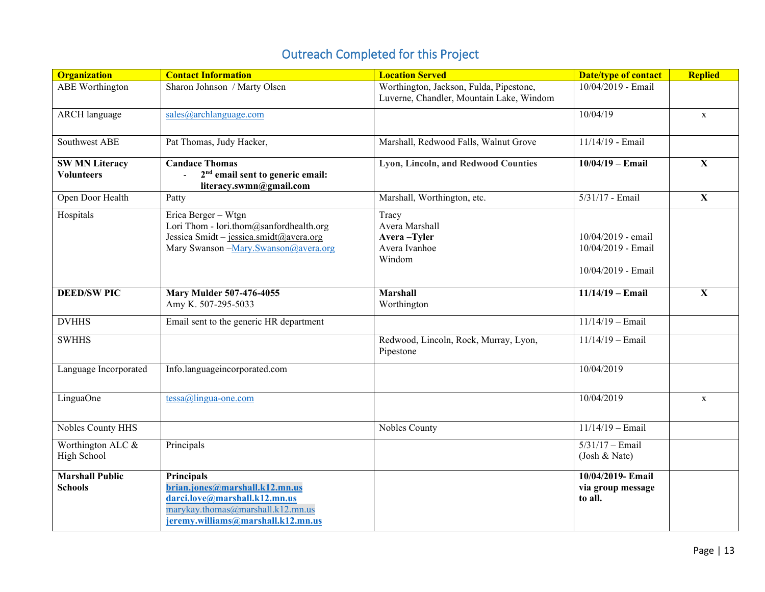# Outreach Completed for this Project

<span id="page-12-0"></span>

| <b>Organization</b>                        | <b>Contact Information</b>                                                                                                                                      | <b>Location Served</b>                                                              | <b>Date/type of contact</b>                                    | <b>Replied</b> |
|--------------------------------------------|-----------------------------------------------------------------------------------------------------------------------------------------------------------------|-------------------------------------------------------------------------------------|----------------------------------------------------------------|----------------|
| <b>ABE</b> Worthington                     | Sharon Johnson / Marty Olsen                                                                                                                                    | Worthington, Jackson, Fulda, Pipestone,<br>Luverne, Chandler, Mountain Lake, Windom | 10/04/2019 - Email                                             |                |
| <b>ARCH</b> language                       | sales@archlanguage.com                                                                                                                                          |                                                                                     | 10/04/19                                                       | $\mathbf{X}$   |
| Southwest ABE                              | Pat Thomas, Judy Hacker,                                                                                                                                        | Marshall, Redwood Falls, Walnut Grove                                               | 11/14/19 - Email                                               |                |
| <b>SW MN Literacy</b><br><b>Volunteers</b> | <b>Candace Thomas</b><br>$2nd$ email sent to generic email:<br>$\sim$<br>literacy.swmn@gmail.com                                                                | Lyon, Lincoln, and Redwood Counties                                                 | $10/04/19 -$ Email                                             | $\mathbf X$    |
| Open Door Health                           | Patty                                                                                                                                                           | Marshall, Worthington, etc.                                                         | 5/31/17 - Email                                                | $\mathbf{X}$   |
| Hospitals                                  | Erica Berger - Wtgn<br>Lori Thom - lori.thom@sanfordhealth.org<br>Jessica Smidt - jessica.smidt@avera.org<br>Mary Swanson - Mary. Swanson@avera.org             | Tracy<br>Avera Marshall<br>Avera-Tyler<br>Avera Ivanhoe<br>Windom                   | 10/04/2019 - email<br>10/04/2019 - Email<br>10/04/2019 - Email |                |
| <b>DEED/SW PIC</b>                         | <b>Mary Mulder 507-476-4055</b><br>Amy K. 507-295-5033                                                                                                          | <b>Marshall</b><br>Worthington                                                      | $11/14/19 -$ Email                                             | $\mathbf X$    |
| <b>DVHHS</b>                               | Email sent to the generic HR department                                                                                                                         |                                                                                     | $11/14/19$ - Email                                             |                |
| <b>SWHHS</b>                               |                                                                                                                                                                 | Redwood, Lincoln, Rock, Murray, Lyon,<br>Pipestone                                  | $11/14/19$ - Email                                             |                |
| Language Incorporated                      | Info.languageincorporated.com                                                                                                                                   |                                                                                     | 10/04/2019                                                     |                |
| LinguaOne                                  | $tessa@lingua-one.com$                                                                                                                                          |                                                                                     | 10/04/2019                                                     | $\mathbf X$    |
| Nobles County HHS                          |                                                                                                                                                                 | Nobles County                                                                       | $11/14/19$ - Email                                             |                |
| Worthington ALC &<br>High School           | Principals                                                                                                                                                      |                                                                                     | $5/31/17 -$ Email<br>(Josh & Nate)                             |                |
| <b>Marshall Public</b><br><b>Schools</b>   | <b>Principals</b><br>brian.jones@marshall.k12.mn.us<br>darci.love@marshall.k12.mn.us<br>marykay.thomas@marshall.k12.mn.us<br>jeremy.williams@marshall.k12.mn.us |                                                                                     | 10/04/2019- Email<br>via group message<br>to all.              |                |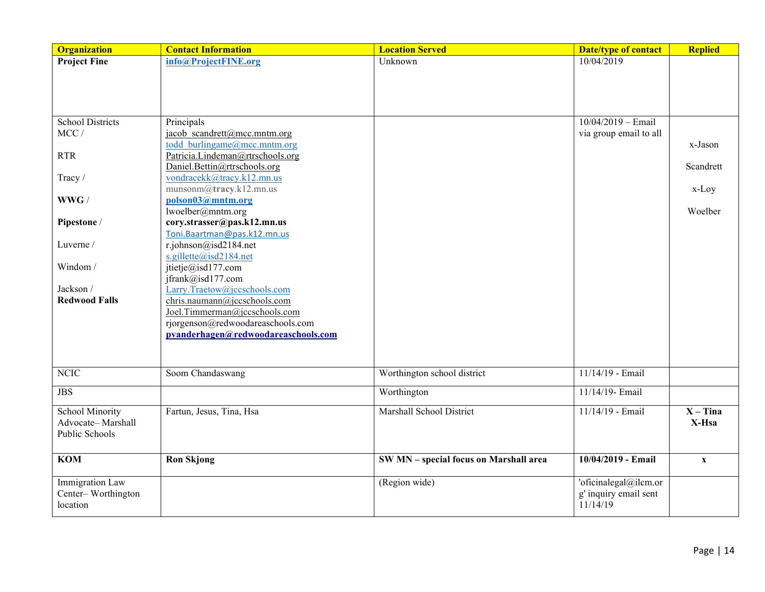| <b>Organization</b>                 | <b>Contact Information</b>                                       | <b>Location Served</b>                 | <b>Date/type of contact</b>       | <b>Replied</b>            |
|-------------------------------------|------------------------------------------------------------------|----------------------------------------|-----------------------------------|---------------------------|
| <b>Project Fine</b>                 | info@ProjectFINE.org                                             | Unknown                                | 10/04/2019                        |                           |
|                                     |                                                                  |                                        |                                   |                           |
|                                     |                                                                  |                                        |                                   |                           |
|                                     |                                                                  |                                        |                                   |                           |
|                                     |                                                                  |                                        |                                   |                           |
| <b>School Districts</b>             | Principals                                                       |                                        | $10/04/2019 - Email$              |                           |
| MCC/                                | jacob scandrett@mcc.mntm.org                                     |                                        | via group email to all            |                           |
|                                     | todd burlingame@mcc.mntm.org                                     |                                        |                                   | x-Jason                   |
| <b>RTR</b>                          | Patricia.Lindeman@rtrschools.org<br>Daniel.Bettin@rtrschools.org |                                        |                                   | Scandrett                 |
| Tracy /                             | vondracekk@tracy.k12.mn.us                                       |                                        |                                   |                           |
|                                     | munsonm@tracy.k12.mn.us                                          |                                        |                                   | $x$ -Loy                  |
| $\ensuremath{\text{WWG}}$ /         | polson03@mntm.org                                                |                                        |                                   |                           |
|                                     | lwoelber@mntm.org                                                |                                        |                                   | Woelber                   |
| Pipestone /                         | cory.strasser@pas.k12.mn.us                                      |                                        |                                   |                           |
|                                     | Toni. Baartman@pas.k12.mn.us                                     |                                        |                                   |                           |
| Luverne /                           | r.johnson@isd2184.net                                            |                                        |                                   |                           |
|                                     | s.gillette@isd2184.net                                           |                                        |                                   |                           |
| Windom/                             | jtietje@isd177.com                                               |                                        |                                   |                           |
|                                     | jfrank@isd177.com                                                |                                        |                                   |                           |
| Jackson /                           | Larry.Traetow@jccschools.com                                     |                                        |                                   |                           |
| <b>Redwood Falls</b>                | chris.naumann@jccschools.com<br>Joel.Timmerman@jccschools.com    |                                        |                                   |                           |
|                                     | rjorgenson@redwoodareaschools.com                                |                                        |                                   |                           |
|                                     | pvanderhagen@redwoodareaschools.com                              |                                        |                                   |                           |
|                                     |                                                                  |                                        |                                   |                           |
|                                     |                                                                  |                                        |                                   |                           |
| <b>NCIC</b>                         | Soom Chandaswang                                                 | Worthington school district            | 11/14/19 - Email                  |                           |
| <b>JBS</b>                          |                                                                  | Worthington                            | 11/14/19- Email                   |                           |
|                                     |                                                                  |                                        |                                   |                           |
| <b>School Minority</b>              | Fartun, Jesus, Tina, Hsa                                         | Marshall School District               | 11/14/19 - Email                  | $X - T$ ina               |
| Advocate-Marshall<br>Public Schools |                                                                  |                                        |                                   | X-Hsa                     |
|                                     |                                                                  |                                        |                                   |                           |
| <b>KOM</b>                          | <b>Ron Skjong</b>                                                | SW MN - special focus on Marshall area | 10/04/2019 - Email                | $\boldsymbol{\mathrm{X}}$ |
|                                     |                                                                  |                                        |                                   |                           |
| Immigration Law                     |                                                                  | (Region wide)                          | 'oficinalegal@ilcm.or             |                           |
| Center-Worthington<br>location      |                                                                  |                                        | g' inquiry email sent<br>11/14/19 |                           |
|                                     |                                                                  |                                        |                                   |                           |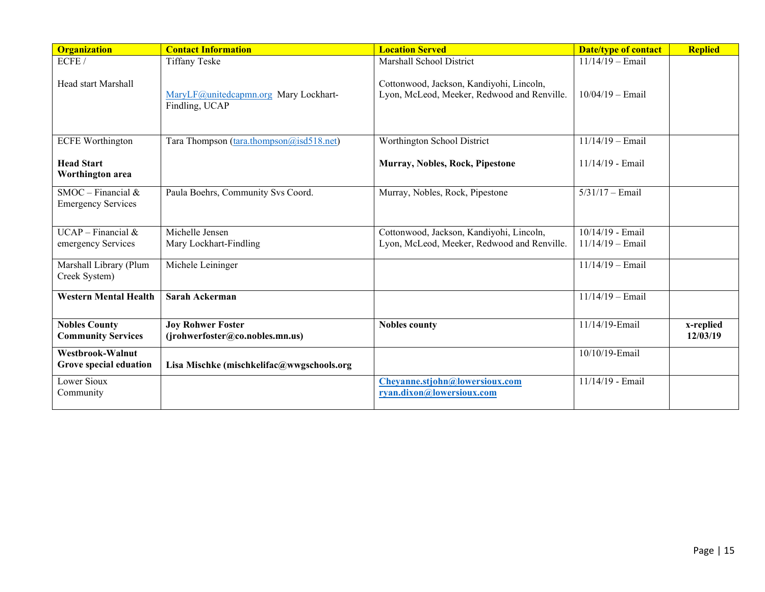| <b>Organization</b>                               | <b>Contact Information</b>                                  | <b>Location Served</b>                                                                  | <b>Date/type of contact</b>            | <b>Replied</b>        |
|---------------------------------------------------|-------------------------------------------------------------|-----------------------------------------------------------------------------------------|----------------------------------------|-----------------------|
| ECFE/                                             | <b>Tiffany Teske</b>                                        | Marshall School District                                                                | $11/14/19$ - Email                     |                       |
| Head start Marshall                               | MaryLF@unitedcapmn.org Mary Lockhart-<br>Findling, UCAP     | Cottonwood, Jackson, Kandiyohi, Lincoln,<br>Lyon, McLeod, Meeker, Redwood and Renville. | $10/04/19$ - Email                     |                       |
| <b>ECFE Worthington</b>                           | Tara Thompson (tara.thompson@isd518.net)                    | Worthington School District                                                             | $11/14/19$ - Email                     |                       |
| <b>Head Start</b><br>Worthington area             |                                                             | Murray, Nobles, Rock, Pipestone                                                         | 11/14/19 - Email                       |                       |
| $SMOC - Financial &$<br><b>Emergency Services</b> | Paula Boehrs, Community Svs Coord.                          | Murray, Nobles, Rock, Pipestone                                                         | $5/31/17 -$ Email                      |                       |
| $UCAP - Financial &$<br>emergency Services        | Michelle Jensen<br>Mary Lockhart-Findling                   | Cottonwood, Jackson, Kandiyohi, Lincoln,<br>Lyon, McLeod, Meeker, Redwood and Renville. | 10/14/19 - Email<br>$11/14/19$ - Email |                       |
| Marshall Library (Plum<br>Creek System)           | Michele Leininger                                           |                                                                                         | $11/14/19$ - Email                     |                       |
| <b>Western Mental Health</b>                      | Sarah Ackerman                                              |                                                                                         | $11/14/19$ - Email                     |                       |
| <b>Nobles County</b><br><b>Community Services</b> | <b>Joy Rohwer Foster</b><br>(jrohwerfoster@co.nobles.mn.us) | <b>Nobles county</b>                                                                    | 11/14/19-Email                         | x-replied<br>12/03/19 |
| Westbrook-Walnut<br>Grove special eduation        | Lisa Mischke (mischkelifac@wwgschools.org                   |                                                                                         | 10/10/19-Email                         |                       |
| Lower Sioux<br>Community                          |                                                             | Cheyanne.stjohn@lowersioux.com<br>ryan.dixon@lowersioux.com                             | 11/14/19 - Email                       |                       |